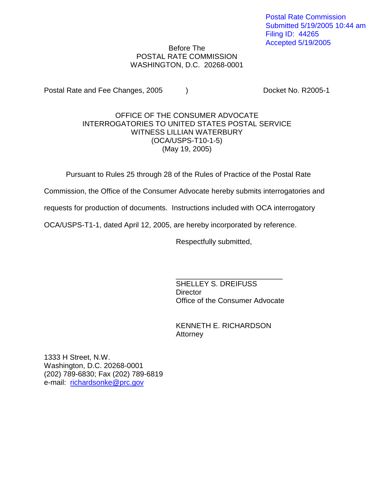Postal Rate Commission Submitted 5/19/2005 10:44 am Filing ID: 44265 Accepted 5/19/2005

## Before The POSTAL RATE COMMISSION WASHINGTON, D.C. 20268-0001

Postal Rate and Fee Changes, 2005 (a) The Cooket No. R2005-1

## OFFICE OF THE CONSUMER ADVOCATE INTERROGATORIES TO UNITED STATES POSTAL SERVICE WITNESS LILLIAN WATERBURY (OCA/USPS-T10-1-5) (May 19, 2005)

Pursuant to Rules 25 through 28 of the Rules of Practice of the Postal Rate

Commission, the Office of the Consumer Advocate hereby submits interrogatories and

requests for production of documents. Instructions included with OCA interrogatory

OCA/USPS-T1-1, dated April 12, 2005, are hereby incorporated by reference.

Respectfully submitted,

\_\_\_\_\_\_\_\_\_\_\_\_\_\_\_\_\_\_\_\_\_\_\_\_\_\_ SHELLEY S. DREIFUSS **Director** Office of the Consumer Advocate

KENNETH E. RICHARDSON Attorney

1333 H Street, N.W. Washington, D.C. 20268-0001 (202) 789-6830; Fax (202) 789-6819 e-mail: richardsonke@prc.gov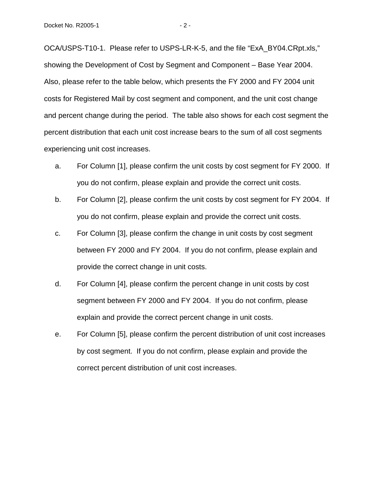OCA/USPS-T10-1. Please refer to USPS-LR-K-5, and the file "ExA\_BY04.CRpt.xls," showing the Development of Cost by Segment and Component – Base Year 2004. Also, please refer to the table below, which presents the FY 2000 and FY 2004 unit costs for Registered Mail by cost segment and component, and the unit cost change and percent change during the period. The table also shows for each cost segment the percent distribution that each unit cost increase bears to the sum of all cost segments experiencing unit cost increases.

- a. For Column [1], please confirm the unit costs by cost segment for FY 2000. If you do not confirm, please explain and provide the correct unit costs.
- b. For Column [2], please confirm the unit costs by cost segment for FY 2004. If you do not confirm, please explain and provide the correct unit costs.
- c. For Column [3], please confirm the change in unit costs by cost segment between FY 2000 and FY 2004. If you do not confirm, please explain and provide the correct change in unit costs.
- d. For Column [4], please confirm the percent change in unit costs by cost segment between FY 2000 and FY 2004. If you do not confirm, please explain and provide the correct percent change in unit costs.
- e. For Column [5], please confirm the percent distribution of unit cost increases by cost segment. If you do not confirm, please explain and provide the correct percent distribution of unit cost increases.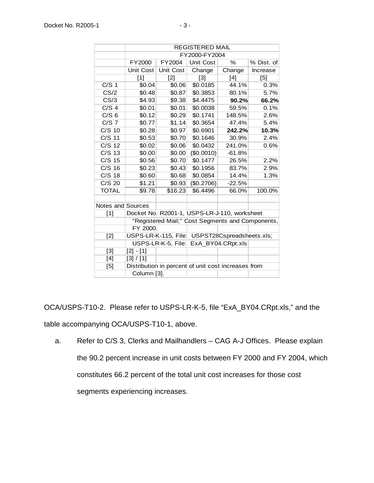| - |  |
|---|--|
|   |  |
|   |  |
|   |  |
|   |  |
|   |  |
|   |  |
|   |  |
|   |  |
|   |  |
|   |  |
|   |  |
|   |  |

|                          | <b>REGISTERED MAIL</b>                              |                  |                  |          |            |  |  |
|--------------------------|-----------------------------------------------------|------------------|------------------|----------|------------|--|--|
|                          | FY2000-FY2004                                       |                  |                  |          |            |  |  |
|                          | FY2000                                              | FY2004           | <b>Unit Cost</b> | $\%$     | % Dist. of |  |  |
|                          | Unit Cost                                           | <b>Unit Cost</b> | Change           | Change   | Increase   |  |  |
|                          | [1]                                                 | $[2]$            | $[3]$            | [4]      | [5]        |  |  |
| C/S <sub>1</sub>         | \$0.04                                              | \$0.06           | \$0.0185         | 44.1%    | 0.3%       |  |  |
| CS/2                     | \$0.48                                              | \$0.87           | \$0.3853         | 80.1%    | 5.7%       |  |  |
| CS/3                     | \$4.93                                              | \$9.38           | \$4.4475         | 90.2%    | 66.2%      |  |  |
| C/S <sub>4</sub>         | \$0.01                                              | \$0.01           | \$0.0038         | 59.5%    | 0.1%       |  |  |
| C/S <sub>6</sub>         | \$0.12                                              | \$0.29           | \$0.1741         | 148.5%   | 2.6%       |  |  |
| $C/S$ 7                  | \$0.77                                              | \$1.14           | \$0.3654         | 47.4%    | 5.4%       |  |  |
| $C/S$ 10                 | \$0.28                                              | \$0.97           | \$0.6901         | 242.2%   | 10.3%      |  |  |
| $C/S$ 11                 | \$0.53                                              | \$0.70           | \$0.1646         | 30.9%    | 2.4%       |  |  |
| C/S 12                   | \$0.02                                              | \$0.06           | \$0.0432         | 241.0%   | 0.6%       |  |  |
| $C/S$ 13                 | \$0.00                                              | \$0.00           | (\$0.0010)       | $-61.8%$ |            |  |  |
| $C/S$ 15                 | \$0.56                                              | \$0.70           | \$0.1477         | 26.5%    | 2.2%       |  |  |
| $C/S$ 16                 | \$0.23                                              | \$0.43           | \$0.1956         | 83.7%    | 2.9%       |  |  |
| $C/S$ 18                 | \$0.60                                              | \$0.68           | \$0.0854         | 14.4%    | 1.3%       |  |  |
| C/S 20                   | \$1.21                                              | \$0.93           | (\$0.2706)       | $-22.5%$ |            |  |  |
| <b>TOTAL</b>             | \$9.78                                              | \$16.23          | \$6.4496         | 66.0%    | 100.0%     |  |  |
|                          |                                                     |                  |                  |          |            |  |  |
| <b>Notes and Sources</b> |                                                     |                  |                  |          |            |  |  |
| $[1]$                    | Docket No. R2001-1, USPS-LR-J-110, worksheet        |                  |                  |          |            |  |  |
|                          | "Registered Mail;" Cost Segments and Components,    |                  |                  |          |            |  |  |
|                          | FY 2000.                                            |                  |                  |          |            |  |  |
| $[2]$                    | USPS-LR-K-115, File: USPST28Cspreadsheets.xls;      |                  |                  |          |            |  |  |
|                          | USPS-LR-K-5, File: ExA_BY04.CRpt.xls                |                  |                  |          |            |  |  |
| $[3]$                    | $[2] - [1]$                                         |                  |                  |          |            |  |  |
| $[4]$                    | [3] / [1]                                           |                  |                  |          |            |  |  |
| [5]                      | Distribution in percent of unit cost increases from |                  |                  |          |            |  |  |
|                          | Column [3].                                         |                  |                  |          |            |  |  |

OCA/USPS-T10-2. Please refer to USPS-LR-K-5, file "ExA\_BY04.CRpt.xls," and the table accompanying OCA/USPS-T10-1, above.

a. Refer to C/S 3, Clerks and Mailhandlers – CAG A-J Offices. Please explain the 90.2 percent increase in unit costs between FY 2000 and FY 2004, which constitutes 66.2 percent of the total unit cost increases for those cost segments experiencing increases.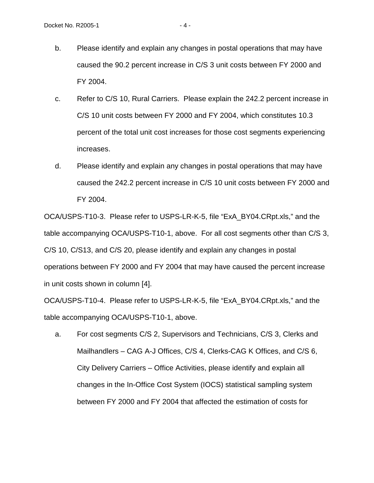- c. Refer to C/S 10, Rural Carriers. Please explain the 242.2 percent increase in C/S 10 unit costs between FY 2000 and FY 2004, which constitutes 10.3 percent of the total unit cost increases for those cost segments experiencing increases.
- d. Please identify and explain any changes in postal operations that may have caused the 242.2 percent increase in C/S 10 unit costs between FY 2000 and FY 2004.

OCA/USPS-T10-3. Please refer to USPS-LR-K-5, file "ExA\_BY04.CRpt.xls," and the table accompanying OCA/USPS-T10-1, above. For all cost segments other than C/S 3, C/S 10, C/S13, and C/S 20, please identify and explain any changes in postal operations between FY 2000 and FY 2004 that may have caused the percent increase in unit costs shown in column [4].

OCA/USPS-T10-4. Please refer to USPS-LR-K-5, file "ExA\_BY04.CRpt.xls," and the table accompanying OCA/USPS-T10-1, above.

a. For cost segments C/S 2, Supervisors and Technicians, C/S 3, Clerks and Mailhandlers – CAG A-J Offices, C/S 4, Clerks-CAG K Offices, and C/S 6, City Delivery Carriers – Office Activities, please identify and explain all changes in the In-Office Cost System (IOCS) statistical sampling system between FY 2000 and FY 2004 that affected the estimation of costs for